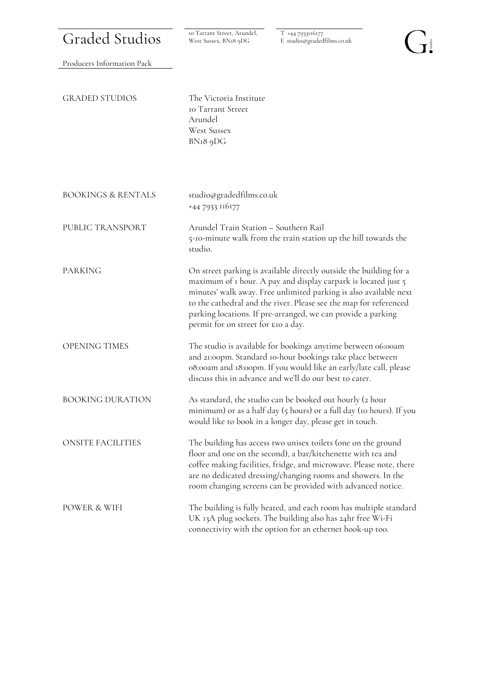| <b>Graded Studios</b>         | 10 Tarrant Street, Arundel,<br>West Sussex, BN18 9DG                                                                                                                                                                                                                                                                                                                                  | T +44 7933116177<br>E studio@gradedfilms.co.uk                                                                                                                                                                                                                                                                                      |  |  |  |
|-------------------------------|---------------------------------------------------------------------------------------------------------------------------------------------------------------------------------------------------------------------------------------------------------------------------------------------------------------------------------------------------------------------------------------|-------------------------------------------------------------------------------------------------------------------------------------------------------------------------------------------------------------------------------------------------------------------------------------------------------------------------------------|--|--|--|
| Producers Information Pack    |                                                                                                                                                                                                                                                                                                                                                                                       |                                                                                                                                                                                                                                                                                                                                     |  |  |  |
| <b>GRADED STUDIOS</b>         | The Victoria Institute<br><b>10 Tarrant Street</b><br>Arundel<br><b>West Sussex</b><br>BN18 9DG                                                                                                                                                                                                                                                                                       |                                                                                                                                                                                                                                                                                                                                     |  |  |  |
| <b>BOOKINGS &amp; RENTALS</b> | studio@gradedfilms.co.uk<br>+44 7933 116177                                                                                                                                                                                                                                                                                                                                           |                                                                                                                                                                                                                                                                                                                                     |  |  |  |
| PUBLIC TRANSPORT              | Arundel Train Station - Southern Rail<br>5-10-minute walk from the train station up the hill towards the<br>studio.                                                                                                                                                                                                                                                                   |                                                                                                                                                                                                                                                                                                                                     |  |  |  |
| <b>PARKING</b>                | On street parking is available directly outside the building for a<br>maximum of 1 hour. A pay and display carpark is located just 5<br>minutes' walk away. Free unlimited parking is also available next<br>to the cathedral and the river. Please see the map for referenced<br>parking locations. If pre-arranged, we can provide a parking<br>permit for on street for £10 a day. |                                                                                                                                                                                                                                                                                                                                     |  |  |  |
| <b>OPENING TIMES</b>          | The studio is available for bookings anytime between 06:00am<br>and 21:00pm. Standard 10-hour bookings take place between<br>08:00am and 18:00pm. If you would like an early/late call, please<br>discuss this in advance and we'll do our best to cater.                                                                                                                             |                                                                                                                                                                                                                                                                                                                                     |  |  |  |
| <b>BOOKING DURATION</b>       |                                                                                                                                                                                                                                                                                                                                                                                       | As standard, the studio can be booked out hourly (2 hour<br>minimum) or as a half day (5 hours) or a full day (10 hours). If you<br>would like to book in a longer day, please get in touch.                                                                                                                                        |  |  |  |
| <b>ONSITE FACILITIES</b>      |                                                                                                                                                                                                                                                                                                                                                                                       | The building has access two unisex toilets (one on the ground<br>floor and one on the second), a bar/kitchenette with tea and<br>coffee making facilities, fridge, and microwave. Please note, there<br>are no dedicated dressing/changing rooms and showers. In the<br>room changing screens can be provided with advanced notice. |  |  |  |
| POWER & WIFI                  | The building is fully heated, and each room has multiple standard<br>UK 13A plug sockets. The building also has 24hr free Wi-Fi<br>connectivity with the option for an ethernet hook-up too.                                                                                                                                                                                          |                                                                                                                                                                                                                                                                                                                                     |  |  |  |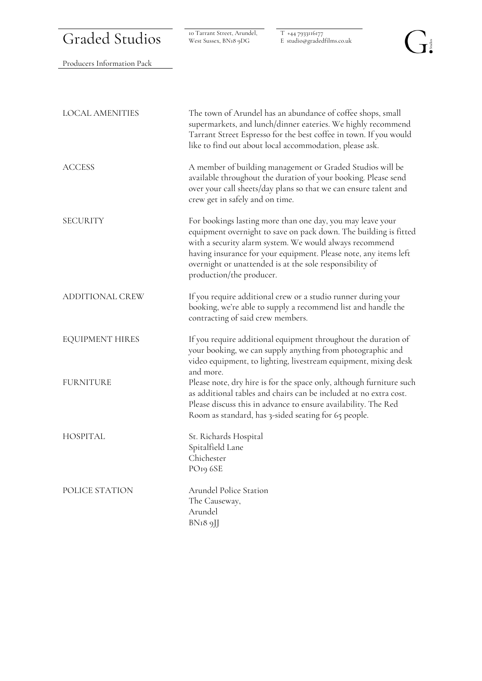## Graded Studios

West Sussex, BN18 9DG

T +44 7933116177 E studio@gradedfilms.co.uk

## $\overrightarrow{\mathbf{J}}$

| Producers Information Pack |                                                                                                                                                                                                                                                                                                                                                       |
|----------------------------|-------------------------------------------------------------------------------------------------------------------------------------------------------------------------------------------------------------------------------------------------------------------------------------------------------------------------------------------------------|
|                            |                                                                                                                                                                                                                                                                                                                                                       |
| <b>LOCAL AMENITIES</b>     | The town of Arundel has an abundance of coffee shops, small<br>supermarkets, and lunch/dinner eateries. We highly recommend<br>Tarrant Street Espresso for the best coffee in town. If you would<br>like to find out about local accommodation, please ask.                                                                                           |
| <b>ACCESS</b>              | A member of building management or Graded Studios will be<br>available throughout the duration of your booking. Please send<br>over your call sheets/day plans so that we can ensure talent and<br>crew get in safely and on time.                                                                                                                    |
| <b>SECURITY</b>            | For bookings lasting more than one day, you may leave your<br>equipment overnight to save on pack down. The building is fitted<br>with a security alarm system. We would always recommend<br>having insurance for your equipment. Please note, any items left<br>overnight or unattended is at the sole responsibility of<br>production/the producer. |
| <b>ADDITIONAL CREW</b>     | If you require additional crew or a studio runner during your<br>booking, we're able to supply a recommend list and handle the<br>contracting of said crew members.                                                                                                                                                                                   |
| <b>EQUIPMENT HIRES</b>     | If you require additional equipment throughout the duration of<br>your booking, we can supply anything from photographic and<br>video equipment, to lighting, livestream equipment, mixing desk<br>and more.                                                                                                                                          |
| <b>FURNITURE</b>           | Please note, dry hire is for the space only, although furniture such<br>as additional tables and chairs can be included at no extra cost.<br>Please discuss this in advance to ensure availability. The Red<br>Room as standard, has 3-sided seating for 65 people.                                                                                   |
| <b>HOSPITAL</b>            | St. Richards Hospital<br>Spitalfield Lane<br>Chichester<br>PO <sub>19</sub> 6SE                                                                                                                                                                                                                                                                       |
| POLICE STATION             | Arundel Police Station<br>The Causeway,<br>Arundel<br>BNI8 9JJ                                                                                                                                                                                                                                                                                        |